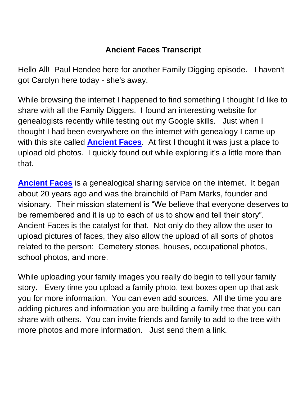## **Ancient Faces Transcript**

Hello All! Paul Hendee here for another Family Digging episode. I haven't got Carolyn here today - she's away.

While browsing the internet I happened to find something I thought I'd like to share with all the Family Diggers. I found an interesting website for genealogists recently while testing out my Google skills. Just when I thought I had been everywhere on the internet with genealogy I came up with this site called **[Ancient Faces](https://www.ancientfaces.com/)**. At first I thought it was just a place to upload old photos. I quickly found out while exploring it's a little more than that.

**[Ancient Faces](https://www.ancientfaces.com/)** is a genealogical sharing service on the internet. It began about 20 years ago and was the brainchild of Pam Marks, founder and visionary. Their mission statement is "We believe that everyone deserves to be remembered and it is up to each of us to show and tell their story". Ancient Faces is the catalyst for that. Not only do they allow the user to upload pictures of faces, they also allow the upload of all sorts of photos related to the person: Cemetery stones, houses, occupational photos, school photos, and more.

While uploading your family images you really do begin to tell your family story. Every time you upload a family photo, text boxes open up that ask you for more information. You can even add sources. All the time you are adding pictures and information you are building a family tree that you can share with others. You can invite friends and family to add to the tree with more photos and more information. Just send them a link.